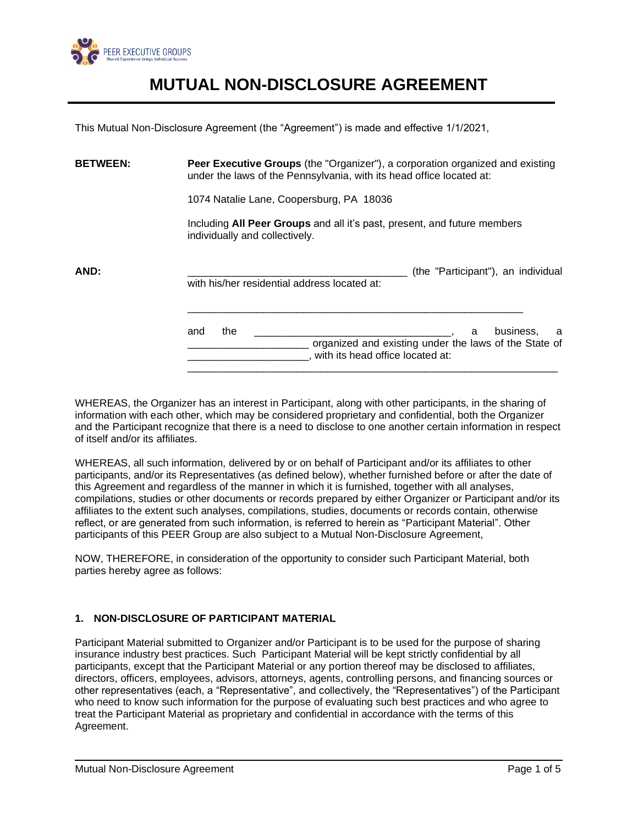

This Mutual Non-Disclosure Agreement (the "Agreement") is made and effective 1/1/2021,

**BETWEEN: Peer Executive Groups** (the "Organizer"), a corporation organized and existing under the laws of the Pennsylvania, with its head office located at:

1074 Natalie Lane, Coopersburg, PA 18036

Including **All Peer Groups** and all it's past, present, and future members individually and collectively.

\_\_\_\_\_\_\_\_\_\_\_\_\_\_\_\_\_\_\_\_\_\_\_\_\_\_\_\_\_\_\_\_\_\_\_\_\_\_\_\_\_\_\_\_\_\_\_\_\_\_\_\_\_\_\_\_\_\_

**AND: AND: AND: AND: AND: AND: AND: AND: AND: AND: AND: AND: AND: AND: AND: AND: AND: AND: AND: AND: AND: AND: AND: AND: AND: AND: AND: AND: AND: AND: AND: AND:** with his/her residential address located at:

> and the **and the and the analogue of the set of the set of the set of the set of the set of the set of the set o** organized and existing under the laws of the State of \_\_\_\_\_\_\_\_\_\_\_\_\_\_\_\_\_\_\_\_\_, with its head office located at: \_\_\_\_\_\_\_\_\_\_\_\_\_\_\_\_\_\_\_\_\_\_\_\_\_\_\_\_\_\_\_\_\_\_\_\_\_\_\_\_\_\_\_\_\_\_\_\_\_\_\_\_\_\_\_\_\_\_\_\_\_\_\_\_

WHEREAS, the Organizer has an interest in Participant, along with other participants, in the sharing of information with each other, which may be considered proprietary and confidential, both the Organizer and the Participant recognize that there is a need to disclose to one another certain information in respect of itself and/or its affiliates.

WHEREAS, all such information, delivered by or on behalf of Participant and/or its affiliates to other participants, and/or its Representatives (as defined below), whether furnished before or after the date of this Agreement and regardless of the manner in which it is furnished, together with all analyses, compilations, studies or other documents or records prepared by either Organizer or Participant and/or its affiliates to the extent such analyses, compilations, studies, documents or records contain, otherwise reflect, or are generated from such information, is referred to herein as "Participant Material". Other participants of this PEER Group are also subject to a Mutual Non-Disclosure Agreement,

NOW, THEREFORE, in consideration of the opportunity to consider such Participant Material, both parties hereby agree as follows:

## **1. NON-DISCLOSURE OF PARTICIPANT MATERIAL**

Participant Material submitted to Organizer and/or Participant is to be used for the purpose of sharing insurance industry best practices. Such Participant Material will be kept strictly confidential by all participants, except that the Participant Material or any portion thereof may be disclosed to affiliates, directors, officers, employees, advisors, attorneys, agents, controlling persons, and financing sources or other representatives (each, a "Representative", and collectively, the "Representatives") of the Participant who need to know such information for the purpose of evaluating such best practices and who agree to treat the Participant Material as proprietary and confidential in accordance with the terms of this Agreement.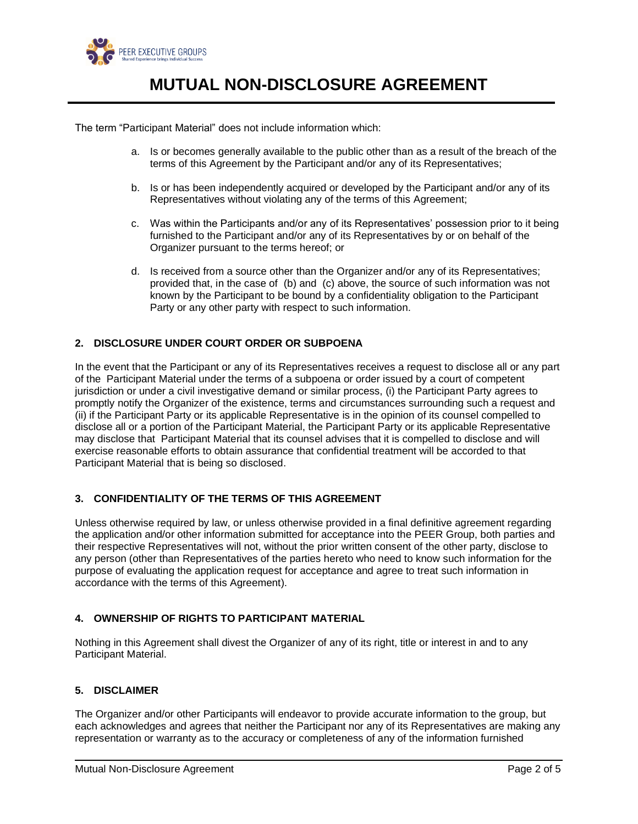

The term "Participant Material" does not include information which:

- a. Is or becomes generally available to the public other than as a result of the breach of the terms of this Agreement by the Participant and/or any of its Representatives;
- b. Is or has been independently acquired or developed by the Participant and/or any of its Representatives without violating any of the terms of this Agreement;
- c. Was within the Participants and/or any of its Representatives' possession prior to it being furnished to the Participant and/or any of its Representatives by or on behalf of the Organizer pursuant to the terms hereof; or
- d. Is received from a source other than the Organizer and/or any of its Representatives; provided that, in the case of (b) and (c) above, the source of such information was not known by the Participant to be bound by a confidentiality obligation to the Participant Party or any other party with respect to such information.

## **2. DISCLOSURE UNDER COURT ORDER OR SUBPOENA**

In the event that the Participant or any of its Representatives receives a request to disclose all or any part of the Participant Material under the terms of a subpoena or order issued by a court of competent jurisdiction or under a civil investigative demand or similar process, (i) the Participant Party agrees to promptly notify the Organizer of the existence, terms and circumstances surrounding such a request and (ii) if the Participant Party or its applicable Representative is in the opinion of its counsel compelled to disclose all or a portion of the Participant Material, the Participant Party or its applicable Representative may disclose that Participant Material that its counsel advises that it is compelled to disclose and will exercise reasonable efforts to obtain assurance that confidential treatment will be accorded to that Participant Material that is being so disclosed.

## **3. CONFIDENTIALITY OF THE TERMS OF THIS AGREEMENT**

Unless otherwise required by law, or unless otherwise provided in a final definitive agreement regarding the application and/or other information submitted for acceptance into the PEER Group, both parties and their respective Representatives will not, without the prior written consent of the other party, disclose to any person (other than Representatives of the parties hereto who need to know such information for the purpose of evaluating the application request for acceptance and agree to treat such information in accordance with the terms of this Agreement).

## **4. OWNERSHIP OF RIGHTS TO PARTICIPANT MATERIAL**

Nothing in this Agreement shall divest the Organizer of any of its right, title or interest in and to any Participant Material.

#### **5. DISCLAIMER**

The Organizer and/or other Participants will endeavor to provide accurate information to the group, but each acknowledges and agrees that neither the Participant nor any of its Representatives are making any representation or warranty as to the accuracy or completeness of any of the information furnished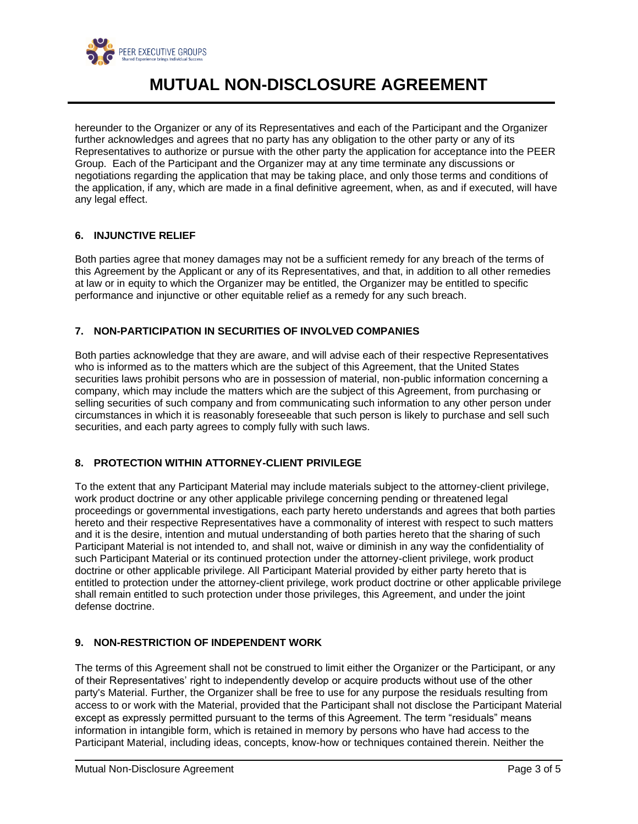

hereunder to the Organizer or any of its Representatives and each of the Participant and the Organizer further acknowledges and agrees that no party has any obligation to the other party or any of its Representatives to authorize or pursue with the other party the application for acceptance into the PEER Group. Each of the Participant and the Organizer may at any time terminate any discussions or negotiations regarding the application that may be taking place, and only those terms and conditions of the application, if any, which are made in a final definitive agreement, when, as and if executed, will have any legal effect.

## **6. INJUNCTIVE RELIEF**

Both parties agree that money damages may not be a sufficient remedy for any breach of the terms of this Agreement by the Applicant or any of its Representatives, and that, in addition to all other remedies at law or in equity to which the Organizer may be entitled, the Organizer may be entitled to specific performance and injunctive or other equitable relief as a remedy for any such breach.

## **7. NON-PARTICIPATION IN SECURITIES OF INVOLVED COMPANIES**

Both parties acknowledge that they are aware, and will advise each of their respective Representatives who is informed as to the matters which are the subject of this Agreement, that the United States securities laws prohibit persons who are in possession of material, non-public information concerning a company, which may include the matters which are the subject of this Agreement, from purchasing or selling securities of such company and from communicating such information to any other person under circumstances in which it is reasonably foreseeable that such person is likely to purchase and sell such securities, and each party agrees to comply fully with such laws.

## **8. PROTECTION WITHIN ATTORNEY-CLIENT PRIVILEGE**

To the extent that any Participant Material may include materials subject to the attorney-client privilege, work product doctrine or any other applicable privilege concerning pending or threatened legal proceedings or governmental investigations, each party hereto understands and agrees that both parties hereto and their respective Representatives have a commonality of interest with respect to such matters and it is the desire, intention and mutual understanding of both parties hereto that the sharing of such Participant Material is not intended to, and shall not, waive or diminish in any way the confidentiality of such Participant Material or its continued protection under the attorney-client privilege, work product doctrine or other applicable privilege. All Participant Material provided by either party hereto that is entitled to protection under the attorney-client privilege, work product doctrine or other applicable privilege shall remain entitled to such protection under those privileges, this Agreement, and under the joint defense doctrine.

## **9. NON-RESTRICTION OF INDEPENDENT WORK**

The terms of this Agreement shall not be construed to limit either the Organizer or the Participant, or any of their Representatives' right to independently develop or acquire products without use of the other party's Material. Further, the Organizer shall be free to use for any purpose the residuals resulting from access to or work with the Material, provided that the Participant shall not disclose the Participant Material except as expressly permitted pursuant to the terms of this Agreement. The term "residuals" means information in intangible form, which is retained in memory by persons who have had access to the Participant Material, including ideas, concepts, know-how or techniques contained therein. Neither the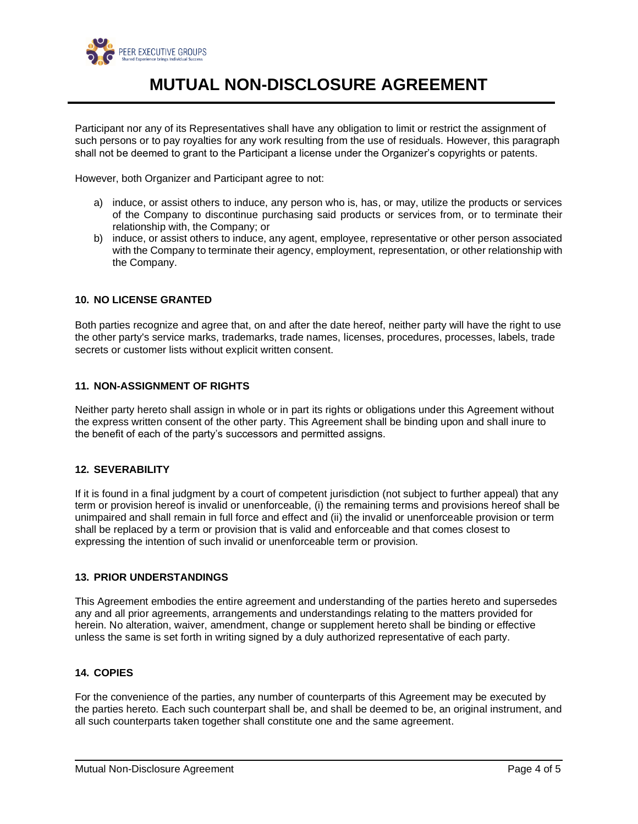

Participant nor any of its Representatives shall have any obligation to limit or restrict the assignment of such persons or to pay royalties for any work resulting from the use of residuals. However, this paragraph shall not be deemed to grant to the Participant a license under the Organizer's copyrights or patents.

However, both Organizer and Participant agree to not:

- a) induce, or assist others to induce, any person who is, has, or may, utilize the products or services of the Company to discontinue purchasing said products or services from, or to terminate their relationship with, the Company; or
- b) induce, or assist others to induce, any agent, employee, representative or other person associated with the Company to terminate their agency, employment, representation, or other relationship with the Company.

#### **10. NO LICENSE GRANTED**

Both parties recognize and agree that, on and after the date hereof, neither party will have the right to use the other party's service marks, trademarks, trade names, licenses, procedures, processes, labels, trade secrets or customer lists without explicit written consent.

#### **11. NON-ASSIGNMENT OF RIGHTS**

Neither party hereto shall assign in whole or in part its rights or obligations under this Agreement without the express written consent of the other party. This Agreement shall be binding upon and shall inure to the benefit of each of the party's successors and permitted assigns.

#### **12. SEVERABILITY**

If it is found in a final judgment by a court of competent jurisdiction (not subject to further appeal) that any term or provision hereof is invalid or unenforceable, (i) the remaining terms and provisions hereof shall be unimpaired and shall remain in full force and effect and (ii) the invalid or unenforceable provision or term shall be replaced by a term or provision that is valid and enforceable and that comes closest to expressing the intention of such invalid or unenforceable term or provision.

### **13. PRIOR UNDERSTANDINGS**

This Agreement embodies the entire agreement and understanding of the parties hereto and supersedes any and all prior agreements, arrangements and understandings relating to the matters provided for herein. No alteration, waiver, amendment, change or supplement hereto shall be binding or effective unless the same is set forth in writing signed by a duly authorized representative of each party.

#### **14. COPIES**

For the convenience of the parties, any number of counterparts of this Agreement may be executed by the parties hereto. Each such counterpart shall be, and shall be deemed to be, an original instrument, and all such counterparts taken together shall constitute one and the same agreement.